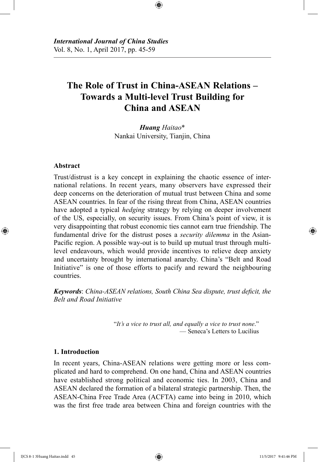# **The Role of Trust in China-ASEAN Relations – Towards a Multi-level Trust Building for China and ASEAN**

⊕

*Huang Haitao*\* Nankai University, Tianjin, China

#### **Abstract**

⊕

Trust/distrust is a key concept in explaining the chaotic essence of international relations. In recent years, many observers have expressed their deep concerns on the deterioration of mutual trust between China and some ASEAN countries. In fear of the rising threat from China, ASEAN countries have adopted a typical *hedging* strategy by relying on deeper involvement of the US, especially, on security issues. From China's point of view, it is very disappointing that robust economic ties cannot earn true friendship. The fundamental drive for the distrust poses a *security dilemma* in the Asian-Pacific region. A possible way-out is to build up mutual trust through multilevel endeavours, which would provide incentives to relieve deep anxiety and uncertainty brought by international anarchy. China's "Belt and Road Initiative" is one of those efforts to pacify and reward the neighbouring countries.

*Keywords*: *China-ASEAN relations, South China Sea dispute, trust deficit, the Belt and Road Initiative*

> "*It's a vice to trust all, and equally a vice to trust none*." — Seneca's Letters to Lucilius

### **1. Introduction**

In recent years, China-ASEAN relations were getting more or less complicated and hard to comprehend. On one hand, China and ASEAN countries have established strong political and economic ties. In 2003, China and ASEAN declared the formation of a bilateral strategic partnership. Then, the ASEAN-China Free Trade Area (ACFTA) came into being in 2010, which was the first free trade area between China and foreign countries with the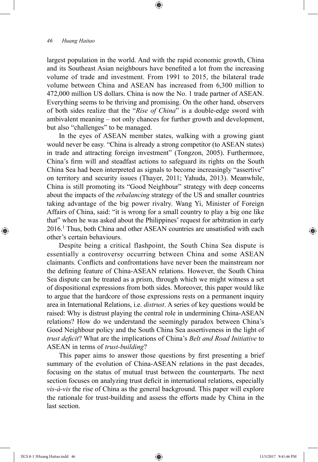largest population in the world. And with the rapid economic growth, China and its Southeast Asian neighbours have benefited a lot from the increasing volume of trade and investment. From 1991 to 2015, the bilateral trade volume between China and ASEAN has increased from 6,300 million to 472,000 million US dollars. China is now the No. 1 trade partner of ASEAN. Everything seems to be thriving and promising. On the other hand, observers of both sides realize that the "*Rise of China*" is a double-edge sword with ambivalent meaning – not only chances for further growth and development, but also "challenges" to be managed.

⊕

In the eyes of ASEAN member states, walking with a growing giant would never be easy. "China is already a strong competitor (to ASEAN states) in trade and attracting foreign investment" (Tongzon, 2005). Furthermore, China's firm will and steadfast actions to safeguard its rights on the South China Sea had been interpreted as signals to become increasingly "assertive" on territory and security issues (Thayer, 2011; Yahuda, 2013). Meanwhile, China is still promoting its "Good Neighbour" strategy with deep concerns about the impacts of the *rebalancing* strategy of the US and smaller countries taking advantage of the big power rivalry. Wang Yi, Minister of Foreign Affairs of China, said: "it is wrong for a small country to play a big one like that" when he was asked about the Philippines' request for arbitration in early 2016.1 Thus, both China and other ASEAN countries are unsatisfied with each other's certain behaviours.

Despite being a critical flashpoint, the South China Sea dispute is essentially a controversy occurring between China and some ASEAN claimants. Conflicts and confrontations have never been the mainstream nor the defining feature of China-ASEAN relations. However, the South China Sea dispute can be treated as a prism, through which we might witness a set of dispositional expressions from both sides. Moreover, this paper would like to argue that the hardcore of those expressions rests on a permanent inquiry area in International Relations, i.e. *distrust*. A series of key questions would be raised: Why is distrust playing the central role in undermining China-ASEAN relations? How do we understand the seemingly paradox between China's Good Neighbour policy and the South China Sea assertiveness in the light of *trust deficit*? What are the implications of China's *Belt and Road Initiative* to ASEAN in terms of *trust-building*?

This paper aims to answer those questions by first presenting a brief summary of the evolution of China-ASEAN relations in the past decades, focusing on the status of mutual trust between the counterparts. The next section focuses on analyzing trust deficit in international relations, especially *vis-à-vis* the rise of China as the general background. This paper will explore the rationale for trust-building and assess the efforts made by China in the last section.

⊕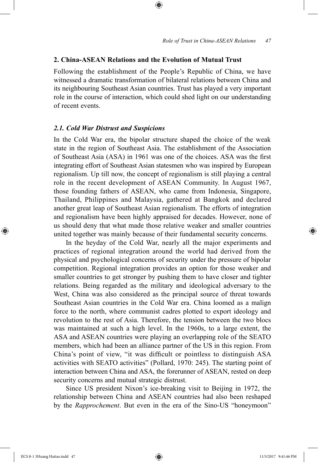#### **2. China-ASEAN Relations and the Evolution of Mutual Trust**

Following the establishment of the People's Republic of China, we have witnessed a dramatic transformation of bilateral relations between China and its neighbouring Southeast Asian countries. Trust has played a very important role in the course of interaction, which could shed light on our understanding of recent events.

⊕

## *2.1. Cold War Distrust and Suspicions*

In the Cold War era, the bipolar structure shaped the choice of the weak state in the region of Southeast Asia. The establishment of the Association of Southeast Asia (ASA) in 1961 was one of the choices. ASA was the first integrating effort of Southeast Asian statesmen who was inspired by European regionalism. Up till now, the concept of regionalism is still playing a central role in the recent development of ASEAN Community. In August 1967, those founding fathers of ASEAN, who came from Indonesia, Singapore, Thailand, Philippines and Malaysia, gathered at Bangkok and declared another great leap of Southeast Asian regionalism. The efforts of integration and regionalism have been highly appraised for decades. However, none of us should deny that what made those relative weaker and smaller countries united together was mainly because of their fundamental security concerns.

In the heyday of the Cold War, nearly all the major experiments and practices of regional integration around the world had derived from the physical and psychological concerns of security under the pressure of bipolar competition. Regional integration provides an option for those weaker and smaller countries to get stronger by pushing them to have closer and tighter relations. Being regarded as the military and ideological adversary to the West, China was also considered as the principal source of threat towards Southeast Asian countries in the Cold War era. China loomed as a malign force to the north, where communist cadres plotted to export ideology and revolution to the rest of Asia. Therefore, the tension between the two blocs was maintained at such a high level. In the 1960s, to a large extent, the ASA and ASEAN countries were playing an overlapping role of the SEATO members, which had been an alliance partner of the US in this region. From China's point of view, "it was difficult or pointless to distinguish ASA activities with SEATO activities" (Pollard, 1970: 245). The starting point of interaction between China and ASA, the forerunner of ASEAN, rested on deep security concerns and mutual strategic distrust.

Since US president Nixon's ice-breaking visit to Beijing in 1972, the relationship between China and ASEAN countries had also been reshaped by the *Rapprochement*. But even in the era of the Sino-US "honeymoon"

⊕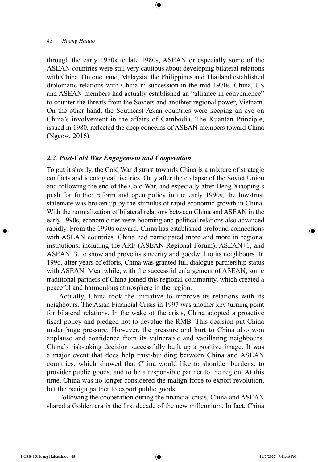through the early 1970s to late 1980s, ASEAN or especially some of the ASEAN countries were still very cautious about developing bilateral relations with China. On one hand, Malaysia, the Philippines and Thailand established diplomatic relations with China in succession in the mid-1970s. China, US and ASEAN members had actually established an "alliance in convenience" to counter the threats from the Soviets and anothter regional power, Vietnam. On the other hand, the Southeast Asian countries were keeping an eye on China's involvement in the affairs of Cambodia. The Kuantan Principle, issued in 1980, reflected the deep concerns of ASEAN members toward China (Ngeow, 2016).

⊕

## *2.2. Post-Cold War Engagement and Cooperation*

To put it shortly, the Cold War distrust towards China is a mixture of strategic conflicts and ideological rivalries. Only after the collapse of the Soviet Union and following the end of the Cold War, and especially after Deng Xiaoping's push for further reform and open policy in the early 1990s, the low-trust stalemate was broken up by the stimulus of rapid economic growth in China. With the normalization of bilateral relations between China and ASEAN in the early 1990s, economic ties were booming and political relations also advanced rapidly. From the 1990s onward, China has established profound connections with ASEAN countries. China had participated more and more in regional institutions, including the ARF (ASEAN Regional Forum), ASEAN+1, and ASEAN+3, to show and prove its sincerity and goodwill to its neighbours. In 1996, after years of efforts, China was granted full dialogue partnership status with ASEAN. Meanwhile, with the successful enlargement of ASEAN, some traditional partners of China joined this regional community, which created a peaceful and harmonious atmosphere in the region.

Actually, China took the initiative to improve its relations with its neighbours. The Asian Financial Crisis in 1997 was another key turning point for bilateral relations. In the wake of the crisis, China adopted a proactive fiscal policy and pledged not to devalue the RMB. This decision put China under huge pressure. However, the pressure and hurt to China also won applause and confidence from its vulnerable and vacillating neighbours. China's risk-taking decision successfully built up a positive image. It was a major event that does help trust-building between China and ASEAN countries, which showed that China would like to shoulder burdens, to provider public goods, and to be a responsible partner to the region. At this time, China was no longer considered the malign force to export revolution, but the benign partner to export public goods.

Following the cooperation during the financial crisis, China and ASEAN shared a Golden era in the first decade of the new millennium. In fact, China

⊕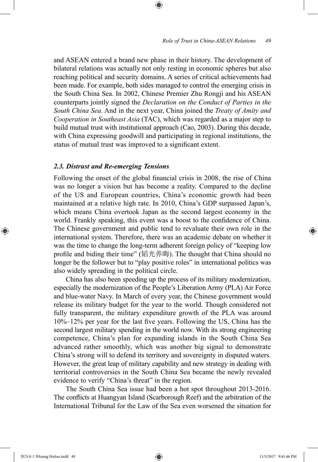#### *Role of Trust in China-ASEAN Relations 49*

and ASEAN entered a brand new phase in their history. The development of bilateral relations was actually not only resting in economic spheres but also reaching political and security domains. A series of critical achievements had been made. For example, both sides managed to control the emerging crisis in the South China Sea. In 2002, Chinese Premier Zhu Rongji and his ASEAN counterparts jointly signed the *Declaration on the Conduct of Parties in the South China Sea*. And in the next year, China joined the *Treaty of Amity and Cooperation in Southeast Asia* (TAC), which was regarded as a major step to build mutual trust with institutional approach (Cao, 2003). During this decade, with China expressing goodwill and participating in regional institutions, the status of mutual trust was improved to a significant extent.

⊕

## *2.3. Distrust and Re-emerging Tensions*

Following the onset of the global financial crisis in 2008, the rise of China was no longer a vision but has become a reality. Compared to the decline of the US and European countries, China's economic growth had been maintained at a relative high rate. In 2010, China's GDP surpassed Japan's, which means China overtook Japan as the second largest economy in the world. Frankly speaking, this event was a boost to the confidence of China. The Chinese government and public tend to revaluate their own role in the international system. Therefore, there was an academic debate on whether it was the time to change the long-term adherent foreign policy of "keeping low profile and biding their time" (韬光养晦). The thought that China should no longer be the follower but to "play positive roles" in international politics was also widely spreading in the political circle.

China has also been speeding up the process of its military modernization, especially the modernization of the People's Liberation Army (PLA) Air Force and blue-water Navy. In March of every year, the Chinese government would release its military budget for the year to the world. Though considered not fully transparent, the military expenditure growth of the PLA was around 10%–12% per year for the last five years. Following the US, China has the second largest military spending in the world now. With its strong engineering competence, China's plan for expanding islands in the South China Sea advanced rather smoothly, which was another big signal to demonstrate China's strong will to defend its territory and sovereignty in disputed waters. However, the great leap of military capability and new strategy in dealing with territorial controversies in the South China Sea became the newly revealed evidence to verify "China's threat" in the region.

The South China Sea issue had been a hot spot throughout 2013-2016. The conflicts at Huangyan Island (Scarborough Reef) and the arbitration of the International Tribunal for the Law of the Sea even worsened the situation for

⊕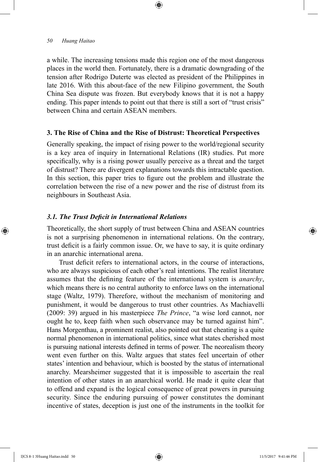a while. The increasing tensions made this region one of the most dangerous places in the world then. Fortunately, there is a dramatic downgrading of the tension after Rodrigo Duterte was elected as president of the Philippines in late 2016. With this about-face of the new Filipino government, the South China Sea dispute was frozen. But everybody knows that it is not a happy ending. This paper intends to point out that there is still a sort of "trust crisis" between China and certain ASEAN members.

⊕

#### **3. The Rise of China and the Rise of Distrust: Theoretical Perspectives**

Generally speaking, the impact of rising power to the world/regional security is a key area of inquiry in International Relations (IR) studies. Put more specifically, why is a rising power usually perceive as a threat and the target of distrust? There are divergent explanations towards this intractable question. In this section, this paper tries to figure out the problem and illustrate the correlation between the rise of a new power and the rise of distrust from its neighbours in Southeast Asia.

#### *3.1. The Trust Deficit in International Relations*

Theoretically, the short supply of trust between China and ASEAN countries is not a surprising phenomenon in international relations. On the contrary, trust deficit is a fairly common issue. Or, we have to say, it is quite ordinary in an anarchic international arena.

Trust deficit refers to international actors, in the course of interactions, who are always suspicious of each other's real intentions. The realist literature assumes that the defining feature of the international system is *anarchy*, which means there is no central authority to enforce laws on the international stage (Waltz, 1979). Therefore, without the mechanism of monitoring and punishment, it would be dangerous to trust other countries. As Machiavelli (2009: 39) argued in his masterpiece *The Prince*, "a wise lord cannot, nor ought he to, keep faith when such observance may be turned against him". Hans Morgenthau, a prominent realist, also pointed out that cheating is a quite normal phenomenon in international politics, since what states cherished most is pursuing national interests defined in terms of power. The neorealism theory went even further on this. Waltz argues that states feel uncertain of other states' intention and behaviour, which is boosted by the status of international anarchy. Mearsheimer suggested that it is impossible to ascertain the real intention of other states in an anarchical world. He made it quite clear that to offend and expand is the logical consequence of great powers in pursuing security. Since the enduring pursuing of power constitutes the dominant incentive of states, deception is just one of the instruments in the toolkit for

⊕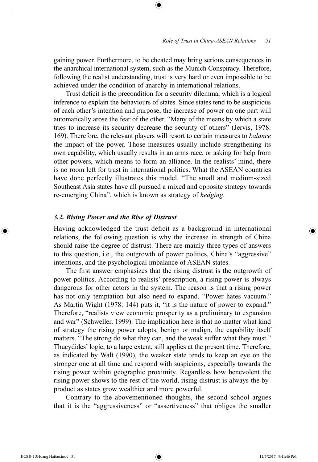gaining power. Furthermore, to be cheated may bring serious consequences in the anarchical international system, such as the Munich Conspiracy. Therefore, following the realist understanding, trust is very hard or even impossible to be achieved under the condition of anarchy in international relations.

⊕

Trust deficit is the precondition for a security dilemma, which is a logical inference to explain the behaviours of states. Since states tend to be suspicious of each other's intention and purpose, the increase of power on one part will automatically arose the fear of the other. "Many of the means by which a state tries to increase its security decrease the security of others" (Jervis, 1978: 169). Therefore, the relevant players will resort to certain measures to *balance* the impact of the power. Those measures usually include strengthening its own capability, which usually results in an arms race, or asking for help from other powers, which means to form an alliance. In the realists' mind, there is no room left for trust in international politics. What the ASEAN countries have done perfectly illustrates this model. "The small and medium-sized Southeast Asia states have all pursued a mixed and opposite strategy towards re-emerging China", which is known as strategy of *hedging*.

#### *3.2. Rising Power and the Rise of Distrust*

Having acknowledged the trust deficit as a background in international relations, the following question is why the increase in strength of China should raise the degree of distrust. There are mainly three types of answers to this question, i.e., the outgrowth of power politics, China's "aggressive" intentions, and the psychological imbalance of ASEAN states.

The first answer emphasizes that the rising distrust is the outgrowth of power politics. According to realists' prescription, a rising power is always dangerous for other actors in the system. The reason is that a rising power has not only temptation but also need to expand. "Power hates vacuum." As Martin Wight (1978: 144) puts it, "it is the nature of power to expand." Therefore, "realists view economic prosperity as a preliminary to expansion and war" (Schweller, 1999). The implication here is that no matter what kind of strategy the rising power adopts, benign or malign, the capability itself matters. "The strong do what they can, and the weak suffer what they must." Thucydides' logic, to a large extent, still applies at the present time. Therefore, as indicated by Walt (1990), the weaker state tends to keep an eye on the stronger one at all time and respond with suspicions, especially towards the rising power within geographic proximity. Regardless how benevolent the rising power shows to the rest of the world, rising distrust is always the byproduct as states grow wealthier and more powerful.

Contrary to the abovementioned thoughts, the second school argues that it is the "aggressiveness" or "assertiveness" that obliges the smaller

⊕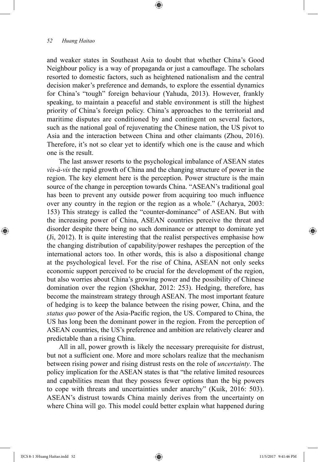and weaker states in Southeast Asia to doubt that whether China's Good Neighbour policy is a way of propaganda or just a camouflage. The scholars resorted to domestic factors, such as heightened nationalism and the central decision maker's preference and demands, to explore the essential dynamics for China's "tough" foreign behaviour (Yahuda, 2013). However, frankly speaking, to maintain a peaceful and stable environment is still the highest priority of China's foreign policy. China's approaches to the territorial and maritime disputes are conditioned by and contingent on several factors, such as the national goal of rejuvenating the Chinese nation, the US pivot to Asia and the interaction between China and other claimants (Zhou, 2016). Therefore, it's not so clear yet to identify which one is the cause and which one is the result.

⊕

The last answer resorts to the psychological imbalance of ASEAN states *vis-à-vis* the rapid growth of China and the changing structure of power in the region. The key element here is the perception. Power structure is the main source of the change in perception towards China. "ASEAN's traditional goal has been to prevent any outside power from acquiring too much influence over any country in the region or the region as a whole." (Acharya, 2003: 153) This strategy is called the "counter-dominance" of ASEAN. But with the increasing power of China, ASEAN countries perceive the threat and disorder despite there being no such dominance or attempt to dominate yet (Ji, 2012). It is quite interesting that the realist perspectives emphasise how the changing distribution of capability/power reshapes the perception of the international actors too. In other words, this is also a dispositional change at the psychological level. For the rise of China, ASEAN not only seeks economic support perceived to be crucial for the development of the region, but also worries about China's growing power and the possibility of Chinese domination over the region (Shekhar, 2012: 253). Hedging, therefore, has become the mainstream strategy through ASEAN. The most important feature of hedging is to keep the balance between the rising power, China, and the *status quo* power of the Asia-Pacific region, the US. Compared to China, the US has long been the dominant power in the region. From the perception of ASEAN countries, the US's preference and ambition are relatively clearer and predictable than a rising China.

All in all, power growth is likely the necessary prerequisite for distrust, but not a sufficient one. More and more scholars realize that the mechanism between rising power and rising distrust rests on the role of *uncertainty*. The policy implication for the ASEAN states is that "the relative limited resources and capabilities mean that they possess fewer options than the big powers to cope with threats and uncertainties under anarchy" (Kuik, 2016: 503). ASEAN's distrust towards China mainly derives from the uncertainty on where China will go. This model could better explain what happened during

⊕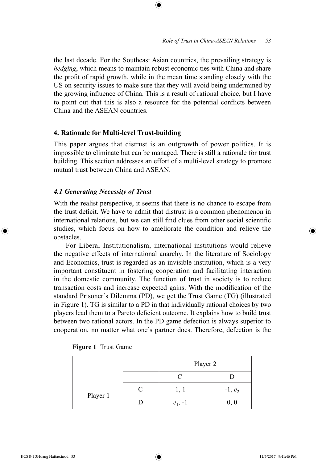the last decade. For the Southeast Asian countries, the prevailing strategy is *hedging*, which means to maintain robust economic ties with China and share the profit of rapid growth, while in the mean time standing closely with the US on security issues to make sure that they will avoid being undermined by the growing influence of China. This is a result of rational choice, but I have to point out that this is also a resource for the potential conflicts between China and the ASEAN countries.

⊕

# **4. Rationale for Multi-level Trust-building**

This paper argues that distrust is an outgrowth of power politics. It is impossible to eliminate but can be managed. There is still a rationale for trust building. This section addresses an effort of a multi-level strategy to promote mutual trust between China and ASEAN.

# *4.1 Generating Necessity of Trust*

With the realist perspective, it seems that there is no chance to escape from the trust deficit. We have to admit that distrust is a common phenomenon in international relations, but we can still find clues from other social scientific studies, which focus on how to ameliorate the condition and relieve the obstacles.

For Liberal Institutionalism, international institutions would relieve the negative effects of international anarchy. In the literature of Sociology and Economics, trust is regarded as an invisible institution, which is a very important constituent in fostering cooperation and facilitating interaction in the domestic community. The function of trust in society is to reduce transaction costs and increase expected gains. With the modification of the standard Prisoner's Dilemma (PD), we get the Trust Game (TG) (illustrated in Figure 1). TG is similar to a PD in that individually rational choices by two players lead them to a Pareto deficient outcome. It explains how to build trust between two rational actors. In the PD game defection is always superior to cooperation, no matter what one's partner does. Therefore, defection is the

| Figure 1 Trust Game |  |  |  |
|---------------------|--|--|--|
|---------------------|--|--|--|

|          | Player 2 |           |           |
|----------|----------|-----------|-----------|
|          |          |           |           |
| Player 1 | C        | 1, 1      | $-1, e_2$ |
|          | Ð        | $e_1, -1$ | 0, 0      |

⊕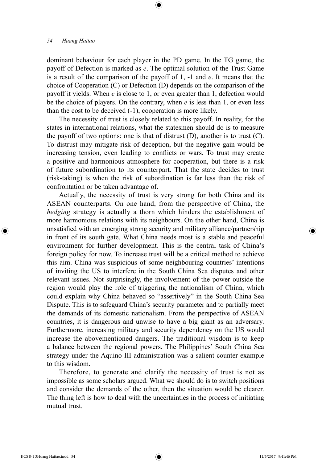dominant behaviour for each player in the PD game. In the TG game, the payoff of Defection is marked as *e*. The optimal solution of the Trust Game is a result of the comparison of the payoff of 1, -1 and *e*. It means that the choice of Cooperation (C) or Defection (D) depends on the comparison of the payoff it yields. When *e* is close to 1, or even greater than 1, defection would be the choice of players. On the contrary, when *e* is less than 1, or even less than the cost to be deceived (-1), cooperation is more likely.

⊕

The necessity of trust is closely related to this payoff. In reality, for the states in international relations, what the statesmen should do is to measure the payoff of two options: one is that of distrust  $(D)$ , another is to trust  $(C)$ . To distrust may mitigate risk of deception, but the negative gain would be increasing tension, even leading to conflicts or wars. To trust may create a positive and harmonious atmosphere for cooperation, but there is a risk of future subordination to its counterpart. That the state decides to trust (risk-taking) is when the risk of subordination is far less than the risk of confrontation or be taken advantage of.

Actually, the necessity of trust is very strong for both China and its ASEAN counterparts. On one hand, from the perspective of China, the *hedging* strategy is actually a thorn which hinders the establishment of more harmonious relations with its neighbours. On the other hand, China is unsatisfied with an emerging strong security and military alliance/partnership in front of its south gate. What China needs most is a stable and peaceful environment for further development. This is the central task of China's foreign policy for now. To increase trust will be a critical method to achieve this aim. China was suspicious of some neighbouring countries' intentions of inviting the US to interfere in the South China Sea disputes and other relevant issues. Not surprisingly, the involvement of the power outside the region would play the role of triggering the nationalism of China, which could explain why China behaved so "assertively" in the South China Sea Dispute. This is to safeguard China's security parameter and to partially meet the demands of its domestic nationalism. From the perspective of ASEAN countries, it is dangerous and unwise to have a big giant as an adversary. Furthermore, increasing military and security dependency on the US would increase the abovementioned dangers. The traditional wisdom is to keep a balance between the regional powers. The Philippines' South China Sea strategy under the Aquino III administration was a salient counter example to this wisdom.

Therefore, to generate and clarify the necessity of trust is not as impossible as some scholars argued. What we should do is to switch positions and consider the demands of the other, then the situation would be clearer. The thing left is how to deal with the uncertainties in the process of initiating mutual trust.

⊕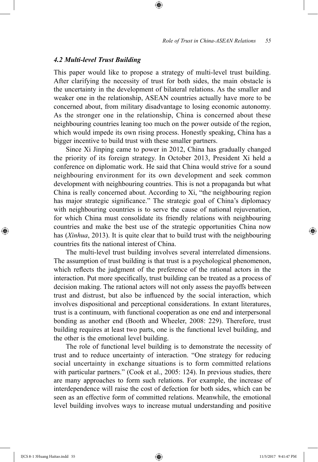#### *4.2 Multi-level Trust Building*

This paper would like to propose a strategy of multi-level trust building. After clarifying the necessity of trust for both sides, the main obstacle is the uncertainty in the development of bilateral relations. As the smaller and weaker one in the relationship, ASEAN countries actually have more to be concerned about, from military disadvantage to losing economic autonomy. As the stronger one in the relationship, China is concerned about these neighbouring countries leaning too much on the power outside of the region, which would impede its own rising process. Honestly speaking, China has a bigger incentive to build trust with these smaller partners.

⊕

Since Xi Jinping came to power in 2012, China has gradually changed the priority of its foreign strategy. In October 2013, President Xi held a conference on diplomatic work. He said that China would strive for a sound neighbouring environment for its own development and seek common development with neighbouring countries. This is not a propaganda but what China is really concerned about. According to Xi, "the neighbouring region has major strategic significance." The strategic goal of China's diplomacy with neighbouring countries is to serve the cause of national rejuvenation, for which China must consolidate its friendly relations with neighbouring countries and make the best use of the strategic opportunities China now has (*Xinhua*, 2013). It is quite clear that to build trust with the neighbouring countries fits the national interest of China.

The multi-level trust building involves several interrelated dimensions. The assumption of trust building is that trust is a psychological phenomenon, which reflects the judgment of the preference of the rational actors in the interaction. Put more specifically, trust building can be treated as a process of decision making. The rational actors will not only assess the payoffs between trust and distrust, but also be influenced by the social interaction, which involves dispositional and perceptional considerations. In extant literatures, trust is a continuum, with functional cooperation as one end and interpersonal bonding as another end (Booth and Wheeler, 2008: 229). Therefore, trust building requires at least two parts, one is the functional level building, and the other is the emotional level building.

The role of functional level building is to demonstrate the necessity of trust and to reduce uncertainty of interaction. "One strategy for reducing social uncertainty in exchange situations is to form committed relations with particular partners." (Cook et al., 2005: 124). In previous studies, there are many approaches to form such relations. For example, the increase of interdependence will raise the cost of defection for both sides, which can be seen as an effective form of committed relations. Meanwhile, the emotional level building involves ways to increase mutual understanding and positive

⊕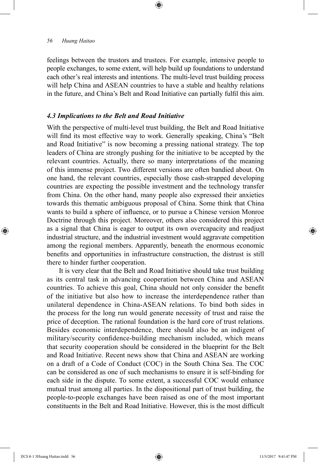feelings between the trustors and trustees. For example, intensive people to people exchanges, to some extent, will help build up foundations to understand each other's real interests and intentions. The multi-level trust building process will help China and ASEAN countries to have a stable and healthy relations in the future, and China's Belt and Road Initiative can partially fulfil this aim.

⊕

#### *4.3 Implications to the Belt and Road Initiative*

With the perspective of multi-level trust building, the Belt and Road Initiative will find its most effective way to work. Generally speaking, China's "Belt and Road Initiative" is now becoming a pressing national strategy. The top leaders of China are strongly pushing for the initiative to be accepted by the relevant countries. Actually, there so many interpretations of the meaning of this immense project. Two different versions are often bandied about. On one hand, the relevant countries, especially those cash-strapped developing countries are expecting the possible investment and the technology transfer from China. On the other hand, many people also expressed their anxieties towards this thematic ambiguous proposal of China. Some think that China wants to build a sphere of influence, or to pursue a Chinese version Monroe Doctrine through this project. Moreover, others also considered this project as a signal that China is eager to output its own overcapacity and readjust industrial structure, and the industrial investment would aggravate competition among the regional members. Apparently, beneath the enormous economic benefits and opportunities in infrastructure construction, the distrust is still there to hinder further cooperation.

It is very clear that the Belt and Road Initiative should take trust building as its central task in advancing cooperation between China and ASEAN countries. To achieve this goal, China should not only consider the benefit of the initiative but also how to increase the interdependence rather than unilateral dependence in China-ASEAN relations. To bind both sides in the process for the long run would generate necessity of trust and raise the price of deception. The rational foundation is the hard core of trust relations. Besides economic interdependence, there should also be an indigent of military/security confidence-building mechanism included, which means that security cooperation should be considered in the blueprint for the Belt and Road Initiative. Recent news show that China and ASEAN are working on a draft of a Code of Conduct (COC) in the South China Sea. The COC can be considered as one of such mechanisms to ensure it is self-binding for each side in the dispute. To some extent, a successful COC would enhance mutual trust among all parties. In the dispositional part of trust building, the people-to-people exchanges have been raised as one of the most important constituents in the Belt and Road Initiative. However, this is the most difficult

⊕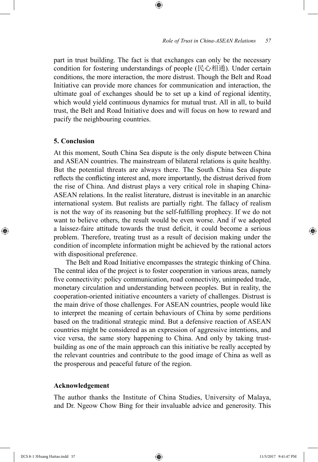part in trust building. The fact is that exchanges can only be the necessary condition for fostering understandings of people (民心相通). Under certain conditions, the more interaction, the more distrust. Though the Belt and Road Initiative can provide more chances for communication and interaction, the ultimate goal of exchanges should be to set up a kind of regional identity, which would yield continuous dynamics for mutual trust. All in all, to build trust, the Belt and Road Initiative does and will focus on how to reward and pacify the neighbouring countries.

⊕

# **5. Conclusion**

⊕

At this moment, South China Sea dispute is the only dispute between China and ASEAN countries. The mainstream of bilateral relations is quite healthy. But the potential threats are always there. The South China Sea dispute reflects the conflicting interest and, more importantly, the distrust derived from the rise of China. And distrust plays a very critical role in shaping China-ASEAN relations. In the realist literature, distrust is inevitable in an anarchic international system. But realists are partially right. The fallacy of realism is not the way of its reasoning but the self-fulfilling prophecy. If we do not want to believe others, the result would be even worse. And if we adopted a laissez-faire attitude towards the trust deficit, it could become a serious problem. Therefore, treating trust as a result of decision making under the condition of incomplete information might be achieved by the rational actors with dispositional preference.

The Belt and Road Initiative encompasses the strategic thinking of China. The central idea of the project is to foster cooperation in various areas, namely five connectivity: policy communication, road connectivity, unimpeded trade, monetary circulation and understanding between peoples. But in reality, the cooperation-oriented initiative encounters a variety of challenges. Distrust is the main drive of those challenges. For ASEAN countries, people would like to interpret the meaning of certain behaviours of China by some perditions based on the traditional strategic mind. But a defensive reaction of ASEAN countries might be considered as an expression of aggressive intentions, and vice versa, the same story happening to China. And only by taking trustbuilding as one of the main approach can this initiative be really accepted by the relevant countries and contribute to the good image of China as well as the prosperous and peaceful future of the region.

# **Acknowledgement**

The author thanks the Institute of China Studies, University of Malaya, and Dr. Ngeow Chow Bing for their invaluable advice and generosity. This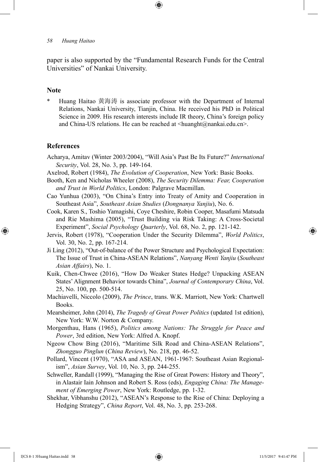paper is also supported by the "Fundamental Research Funds for the Central Universities" of Nankai University.

⊕

#### **Note**

Huang Haitao 黄海涛 is associate professor with the Department of Internal Relations, Nankai University, Tianjin, China. He received his PhD in Political Science in 2009. His research interests include IR theory, China's foreign policy and China-US relations. He can be reached at <huanght@nankai.edu.cn>.

#### **References**

⊕

- Acharya, Amitav (Winter 2003/2004), "Will Asia's Past Be Its Future?" *International Security*, Vol. 28, No. 3, pp. 149-164.
- Axelrod, Robert (1984), *The Evolution of Cooperation*, New York: Basic Books.
- Booth, Ken and Nicholas Wheeler (2008), *The Security Dilemma: Fear, Cooperation and Trust in World Politics*, London: Palgrave Macmillan.
- Cao Yunhua (2003), "On China's Entry into Treaty of Amity and Cooperation in Southeast Asia", *Southeast Asian Studies* (*Dongnanya Yanjiu*), No. 6.
- Cook, Karen S., Toshio Yamagishi, Coye Cheshire, Robin Cooper, Masafumi Matsuda and Rie Mashima (2005), "Trust Building via Risk Taking: A Cross-Societal Experiment", *Social Psychology Quarterly*, Vol. 68, No. 2, pp. 121-142.
- Jervis, Robert (1978), "Cooperation Under the Security Dilemma", *World Politics*, Vol. 30, No. 2, pp. 167-214.
- Ji Ling (2012), "Out-of-balance of the Power Structure and Psychological Expectation: The Issue of Trust in China-ASEAN Relations", *Nanyang Wenti Yanjiu* (*Southeast Asian Affairs*), No. 1.
- Kuik, Chen-Chwee (2016), "How Do Weaker States Hedge? Unpacking ASEAN States' Alignment Behavior towards China", *Journal of Contemporary China*, Vol. 25, No. 100, pp. 500-514.
- Machiavelli, Niccolo (2009), *The Prince*, trans. W.K. Marriott, New York: Chartwell Books.
- Mearsheimer, John (2014), *The Tragedy of Great Power Politics* (updated 1st edition), New York: W.W. Norton & Company.
- Morgenthau, Hans (1965), *Politics among Nations: The Struggle for Peace and Power*, 3rd edition, New York: Alfred A. Knopf.
- Ngeow Chow Bing (2016), "Maritime Silk Road and China-ASEAN Relations", *Zhongguo Pinglun* (*China Review*), No. 218, pp. 46-52.
- Pollard, Vincent (1970), "ASA and ASEAN, 1961-1967: Southeast Asian Regionalism", *Asian Survey*, Vol. 10, No. 3, pp. 244-255.
- Schweller, Randall (1999), "Managing the Rise of Great Powers: History and Theory", in Alastair Iain Johnson and Robert S. Ross (eds), *Engaging China: The Management of Emerging Power*, New York: Routledge, pp. 1-32.
- Shekhar, Vibhanshu (2012), "ASEAN's Response to the Rise of China: Deploying a Hedging Strategy", *China Report*, Vol. 48, No. 3, pp. 253-268.

IJCS 8-1 3Huang Haitao.indd 58 11/5/2017 9:41:47 PM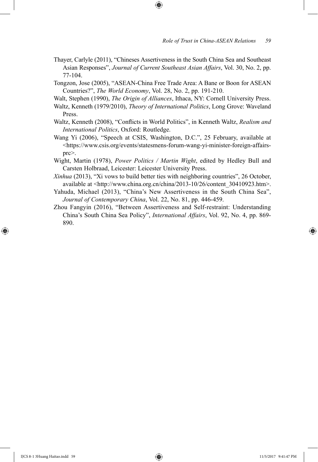Thayer, Carlyle (2011), "Chineses Assertiveness in the South China Sea and Southeast Asian Responses", *Journal of Current Southeast Asian Affairs*, Vol. 30, No. 2, pp. 77-104.

⊕

- Tongzon, Jose (2005), "ASEAN-China Free Trade Area: A Bane or Boon for ASEAN Countries?", *The World Economy*, Vol. 28, No. 2, pp. 191-210.
- Walt, Stephen (1990), *The Origin of Alliances*, Ithaca, NY: Cornell University Press.
- Waltz, Kenneth (1979/2010), *Theory of International Politics*, Long Grove: Waveland Press.
- Waltz, Kenneth (2008), "Conflicts in World Politics", in Kenneth Waltz, *Realism and International Politics*, Oxford: Routledge.
- Wang Yi (2006), "Speech at CSIS, Washington, D.C.", 25 February, available at <https://www.csis.org/events/statesmens-forum-wang-yi-minister-foreign-affairsprc>.
- Wight, Martin (1978), *Power Politics / Martin Wight*, edited by Hedley Bull and Carsten Holbraad, Leicester: Leicester University Press.
- *Xinhua* (2013), "Xi vows to build better ties with neighboring countries", 26 October, available at <http://www.china.org.cn/china/2013-10/26/content\_30410923.htm>.
- Yahuda, Michael (2013), "China's New Assertiveness in the South China Sea", *Journal of Contemporary China*, Vol. 22, No. 81, pp. 446-459.
- Zhou Fangyin (2016), "Between Assertiveness and Self-restraint: Understanding China's South China Sea Policy", *International Affairs*, Vol. 92, No. 4, pp. 869- 890.

⊕